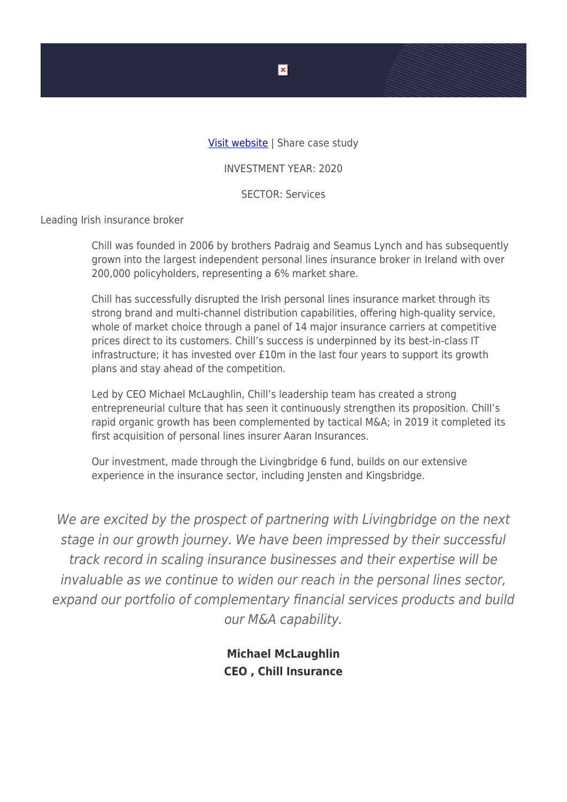## [Visit website](https://www.chill.ie/) | Share case study

INVESTMENT YEAR: 2020

SECTOR: Services

Leading Irish insurance broker

Chill was founded in 2006 by brothers Padraig and Seamus Lynch and has subsequently grown into the largest independent personal lines insurance broker in Ireland with over 200,000 policyholders, representing a 6% market share.

Chill has successfully disrupted the Irish personal lines insurance market through its strong brand and multi-channel distribution capabilities, offering high-quality service, whole of market choice through a panel of 14 major insurance carriers at competitive prices direct to its customers. Chill's success is underpinned by its best-in-class IT infrastructure; it has invested over £10m in the last four years to support its growth plans and stay ahead of the competition.

Led by CEO Michael McLaughlin, Chill's leadership team has created a strong entrepreneurial culture that has seen it continuously strengthen its proposition. Chill's rapid organic growth has been complemented by tactical M&A; in 2019 it completed its first acquisition of personal lines insurer Aaran Insurances.

Our investment, made through the Livingbridge 6 fund, builds on our extensive experience in the insurance sector, including Jensten and Kingsbridge.

We are excited by the prospect of partnering with Livingbridge on the next stage in our growth journey. We have been impressed by their successful track record in scaling insurance businesses and their expertise will be invaluable as we continue to widen our reach in the personal lines sector, expand our portfolio of complementary financial services products and build our M&A capability.

> **Michael McLaughlin CEO , Chill Insurance**

 $\pmb{\times}$